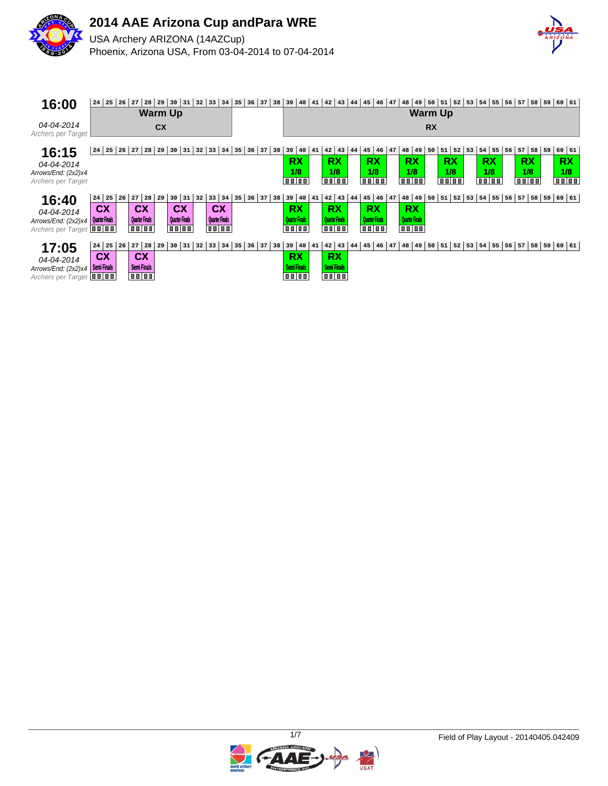



| 16:00                            | $24$ 25 26            | 27<br>28                   | 29 30          | $\begin{array}{c} 31 \end{array}$ | 32 | $33 \mid 34$          | 35       | 36                        | 37 | 38 | 39                                                     | 40 | $41 \mid 42 \mid$ | 43                                 | 44 | $45 \mid 46 \mid 47$  |    | 48                      | 49 | 50           | 51                                                             | 52 53 | 54 55         |    |           |    | 56 57 58 59 60 61   |  |
|----------------------------------|-----------------------|----------------------------|----------------|-----------------------------------|----|-----------------------|----------|---------------------------|----|----|--------------------------------------------------------|----|-------------------|------------------------------------|----|-----------------------|----|-------------------------|----|--------------|----------------------------------------------------------------|-------|---------------|----|-----------|----|---------------------|--|
|                                  |                       |                            | <b>Warm Up</b> |                                   |    |                       |          |                           |    |    |                                                        |    |                   |                                    |    |                       |    |                         |    |              | <b>Warm Up</b>                                                 |       |               |    |           |    |                     |  |
| 04-04-2014<br>Archers per Target |                       |                            | <b>CX</b>      |                                   |    |                       |          |                           |    |    |                                                        |    |                   |                                    |    |                       |    |                         |    | <b>RX</b>    |                                                                |       |               |    |           |    |                     |  |
| 16:15                            | 24   25   26          | 27<br>28                   | 29             | 31<br>30                          | 32 | 33                    | 34<br>35 | 36                        | 37 | 38 | 39                                                     | 40 | 41                | $42 \mid 43 \mid$                  | 44 | $45 \mid 46$          | 47 | 48 49                   |    | 50           | $51 \mid 52 \mid 53$                                           |       | $54$ 55       | 56 | $57$ 58   | 59 | 60   61             |  |
| 04-04-2014                       |                       |                            |                |                                   |    |                       |          |                           |    |    | <b>RX</b>                                              |    |                   | <b>RX</b>                          |    | <b>RX</b>             |    | <b>RX</b>               |    |              | <b>RX</b>                                                      |       | <b>RX</b>     |    | <b>RX</b> |    | <b>RX</b>           |  |
| Arrows/End: (2x2)x4              |                       |                            |                |                                   |    |                       |          |                           |    |    | 1/8                                                    |    |                   | 1/8                                |    | 1/8                   |    | 1/8                     |    |              | 1/8                                                            |       | 1/8           |    | 1/8       |    | 1/8                 |  |
| Archers per Target               |                       |                            |                |                                   |    |                       |          |                           |    |    | oojoo                                                  |    |                   | <b>TO 00</b>                       |    | 00 00                 |    | oojoo                   |    |              | oooo                                                           |       | <b>TO 00</b>  |    | 0000      |    | 00 00               |  |
| 16:40                            | $24$ 25<br>26         | 27<br>28                   | 29             | $30 \mid 31 \mid 32$              |    | $33 \mid 34$          |          | $35 \mid 36 \mid 37 \mid$ |    | 38 | 39   40                                                |    | 41                | $42 \mid 43 \mid$                  | 44 | $45 \mid 46 \mid 47$  |    | 48 49                   |    | $50 \mid 51$ |                                                                |       | $52$ 53 54 55 |    |           |    | $56$ 57 58 59 60 61 |  |
| 04-04-2014                       | <b>CX</b>             | <b>CX</b>                  |                | <b>CX</b>                         |    | <b>CX</b>             |          |                           |    |    | <b>RX</b>                                              |    |                   | <b>RX</b>                          |    | <b>RX</b>             |    | <b>RX</b>               |    |              |                                                                |       |               |    |           |    |                     |  |
| Arrows/End: $(2x2)x4$            | <b>Quarter Finals</b> | <b>Quarter Finals</b>      |                | <b>Quarter Finals</b>             |    | <b>Quarter Finals</b> |          |                           |    |    | Quarter Finals                                         |    |                   | <b>Quarter Finals</b>              |    | <b>Quarter Finals</b> |    | <b>Quarter Finals</b>   |    |              |                                                                |       |               |    |           |    |                     |  |
| Archers per Target <b>III</b>    |                       | <b>TO DO</b>               |                | $\overline{a}$                    |    | <b>OD OD</b>          |          |                           |    |    | $\overline{\mathbf{u}\mathbf{u} \mathbf{u}\mathbf{u}}$ |    |                   | $\overline{111}$ $\overline{11}$   |    | $\overline{11111}$    |    | $\overline{\mathbf{u}}$ |    |              |                                                                |       |               |    |           |    |                     |  |
| 17:05                            | $24$ 25 26            | $27$ 28                    |                | 29   30   31   32   33   34       |    |                       |          | 35 36 37 38               |    |    | 39   40                                                |    | 41                |                                    |    |                       |    |                         |    |              | $ 42 43 44 45 46 47 48 49 50 51 52 53 54 55 56 57 58 59 60 61$ |       |               |    |           |    |                     |  |
| 04-04-2014                       | <b>CX</b>             | <b>CX</b>                  |                |                                   |    |                       |          |                           |    |    | <b>RX</b>                                              |    |                   | <b>RX</b>                          |    |                       |    |                         |    |              |                                                                |       |               |    |           |    |                     |  |
| Arrows/End: $(2x2)x4$            | <b>Semi Finals</b>    | <b>Semi Finals</b><br>0000 |                |                                   |    |                       |          |                           |    |    | <b>Semi Finals</b><br>oojoo                            |    |                   | <b>Semi Finals</b><br><b>TE DE</b> |    |                       |    |                         |    |              |                                                                |       |               |    |           |    |                     |  |
| Archers per Target <b>III</b>    |                       |                            |                |                                   |    |                       |          |                           |    |    |                                                        |    |                   |                                    |    |                       |    |                         |    |              |                                                                |       |               |    |           |    |                     |  |

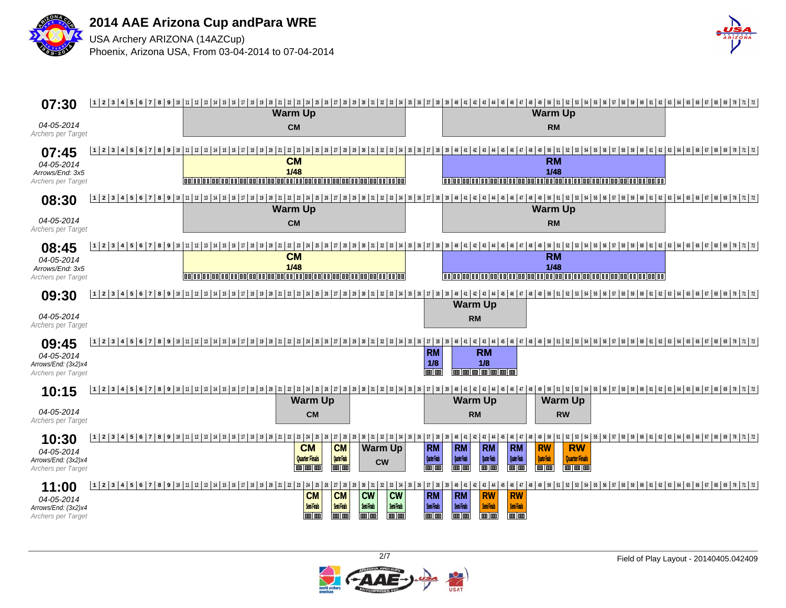



| 07:30                                                            |                   | <b>Warm Up</b>                                                                                                                                                                                                          |                                                                                                                                                                                              |                                                                           |                                                                                                                                                                                            | <b>Warm Up</b>                                                                        |                                                                                                                                                                                                                                 |  |
|------------------------------------------------------------------|-------------------|-------------------------------------------------------------------------------------------------------------------------------------------------------------------------------------------------------------------------|----------------------------------------------------------------------------------------------------------------------------------------------------------------------------------------------|---------------------------------------------------------------------------|--------------------------------------------------------------------------------------------------------------------------------------------------------------------------------------------|---------------------------------------------------------------------------------------|---------------------------------------------------------------------------------------------------------------------------------------------------------------------------------------------------------------------------------|--|
| 04-05-2014<br>Archers per Target                                 |                   | <b>CM</b>                                                                                                                                                                                                               |                                                                                                                                                                                              |                                                                           |                                                                                                                                                                                            | <b>RM</b>                                                                             |                                                                                                                                                                                                                                 |  |
| 07:45<br>04-05-2014<br>Arrows/End: 3x5<br>Archers per Target     |                   | <b>CM</b><br>$1/48$                                                                                                                                                                                                     |                                                                                                                                                                                              |                                                                           |                                                                                                                                                                                            | <b>RM</b><br>1/48                                                                     | 12 3 4 5 6 7 8 9 10 11 12 13 14 15 16 17 18 19 10 12 13 14 12 13 14 15 16 17 18 19 10 12 13 14 15 16 17 18 19 10 11 12 13 14 15 16 17 18 19 10 11 12 13 14 15 16 17 17 18 19 10 11 12 1                                         |  |
| 08:30<br>04-05-2014<br>Archers per Target                        |                   | <b>Warm Up</b><br><b>CM</b>                                                                                                                                                                                             |                                                                                                                                                                                              |                                                                           |                                                                                                                                                                                            | <b>Warm Up</b><br><b>RM</b>                                                           |                                                                                                                                                                                                                                 |  |
| 08:45<br>04-05-2014<br>Arrows/End: 3x5<br>Archers per Target     |                   | <b>CM</b><br>$1/48$<br>  0 0   0 0   0 0   0 0   0 0   0 0   0 0   0 0   0 0                                                                                                                                            |                                                                                                                                                                                              |                                                                           |                                                                                                                                                                                            | <b>RM</b><br>1/48                                                                     | 12 2 3 4 5 6 7 8 9 10 11 2 3 4 5 6 7 8 9 10 12 3 4 5 7 8 9 20 12 3 4 5 6 7 8 9 30 12 3 4 5 7 8 9 10 12 3 4 5 6 7 8 9 10 12 3 4 5 6 7 8 9 10 12 3 4 5 6 7 8 9 10 12 12 13 14 15 6 7 8 9 10 12 12 12 12 12 12 12 12 13 14 15 16 1 |  |
| 09:30<br>04-05-2014<br>Archers per Target                        |                   |                                                                                                                                                                                                                         |                                                                                                                                                                                              |                                                                           | <b>Warm Up</b><br><b>RM</b>                                                                                                                                                                |                                                                                       | , 19 2 3 4 5 6 7 8 9 30 4 5 6 7 8 9 30 4 5 6 7 8 9 30 4 5 6 7 8 9 70 1 2 3 4 5 7 8 9 30 4 5 6 7 8 9 40 5 6 5 6 5 7 8 9 40 5 6 7 8 9 40 5 6 7 8 9 40 5 6 7 8 9 70 1 2                                                            |  |
| 09:45<br>04-05-2014<br>Arrows/End: (3x2)x4<br>Archers per Target |                   | 1  2  3  4  5  6  7  8  9  10  11  12  13  14  15  16  17  18  19  20  21  21  23  24  25  26  27  28  29  30  31  32  33  34  35  36                                                                                   |                                                                                                                                                                                              | $37 \mid 38 \mid$<br><b>RM</b><br>1/8<br><b>Tim Lin</b>                   | <b>RM</b><br>1/8<br><b>monda</b> a a                                                                                                                                                       |                                                                                       | 40   41   42   43   44   45   46   47   48   49   50   51   52   53   54   55   56   57   58   59   60   61   62   63   64   65   66   67   68   69   70   71   72                                                              |  |
| 10:15<br>04-05-2014<br>Archers per Target                        | 12345678911111213 | 14   15   16   17   18   19   20   21   22   23   24   25   26   27   28   29   30   31   32   33   34   35   36   37   38   39                                                                                         | <b>Warm Up</b><br><b>CM</b>                                                                                                                                                                  |                                                                           | <b>Warm Up</b><br><b>RM</b>                                                                                                                                                                | <b>Warm Up</b><br><b>RW</b>                                                           | 40   41   42   43   44   45   46   47   48   49   50   51   52   53   54   55   56   57   58   59   60   61   62   63   64   65   66   67   68   69   70   71   72                                                              |  |
| 10:30<br>04-05-2014<br>Arrows/End: (3x2)x4<br>Archers per Target |                   | 1   2   3   4   5   6   7   8   9   10   11   12   13   14   15   16   17   18   19   20   21   22   23   24   27   28   29   30   31   32   33   34   35   36   37   38<br><b>CM</b><br><b>Quarter Finals</b><br>m m m | <b>CM</b><br><b>Warm Up</b><br>Quarter Finals<br><b>CW</b><br>ww                                                                                                                             | 39<br><b>RM</b><br><b>Quate First</b><br><b>Too Too</b>                   | <b>RM</b><br><b>RM</b><br><b>RM</b><br><b>Quate Firek</b><br><b>Quate First</b><br><b>Quater Finals</b><br>णाण<br><b>TOO TOO</b><br><u>m lan</u>                                           | <b>RW</b><br><b>RW</b><br><b>Quarter Finals</b><br><b>Quarter Finals</b><br>ww<br>www | 40   41   42   43   44   45   46   47   48   49   50   51   52   53   54   55   56   57   58   59   60   61   62   63   64   65   66   67   68   69   70   71   72                                                              |  |
| 11:00<br>04-05-2014<br>Arrows/End: (3x2)x4<br>Archers per Target |                   | 1   2   3   4   5   6   7   8   9   10   11   12   13   14   15   16   17   18   19   20   21   22   23   24   25                                                                                                       | 27 28 29<br>  26<br><b>CM</b><br><b>CM</b><br><b>CW</b><br>$\mathsf{cw}$<br>Semi Finals<br><b>Semi Finals</b><br><b>SemiFinals</b><br><b>Semi Finals</b><br>mm<br>Ē<br>ww<br><b>THE REAL</b> | $  30   31   32   33   34   35   36   37   38$<br>RM<br>Semi Finals<br>mm | 42 43 44 45 46 47<br>40 41<br><b>RW</b><br><b>RM</b><br><b>RW</b><br><b>Semi Finals</b><br><b>Semi Finals</b><br><b>SemiFinals</b><br>mm<br>$\blacksquare \blacksquare$<br><b>THE REAL</b> |                                                                                       | 48   49   50   51   52   53   54   55   56   57   58   59   60   61   62   63   64   65   66   67   68   69   70   71   72                                                                                                      |  |

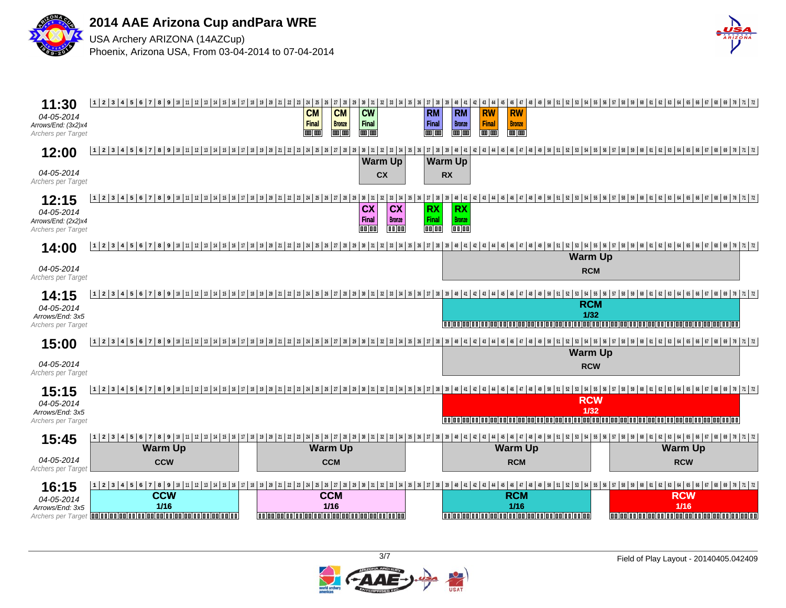



| 11:30<br>04-05-2014<br>Arrows/End: (3x2)x4<br>Archers per Target | $1 \n 1 \n 2 \n 3 \n 4 \n 5 \n 6 \n 7 \n 8 \n 9 \n 10 \n 11 \n 12 \n 13 \n 14 \n 15 \n 16 \n 17 \n 18 \n 19 \n 20 \n 21 \n 22 \n 23 \n 24 \n 25 \n 26 \n 27 \n 28 \n 29$<br>30 31<br>40 41 42 43 44 45<br>  49   50   51   52   53   54   55   56   57   58   59   60   61   62   63   64   65   66   67   68   69   70   71   72  <br>32 33 34 35 36 37 38<br>46 47<br>48<br>39<br><b>CM</b><br><b>CM</b><br><b>CW</b><br><b>RM</b><br><b>RM</b><br><b>RW</b><br><b>RW</b><br>Final<br>Final<br>Final<br>Final<br><b>Bronze</b><br><b>Bronze</b><br><b>Bronze</b><br><b>m</b> m<br>mm<br>mm<br>mm<br><b>THE REA</b><br><b>THE LIB</b><br><b>THE LIB</b> |
|------------------------------------------------------------------|----------------------------------------------------------------------------------------------------------------------------------------------------------------------------------------------------------------------------------------------------------------------------------------------------------------------------------------------------------------------------------------------------------------------------------------------------------------------------------------------------------------------------------------------------------------------------------------------------------------------------------------------------------|
| 12:00                                                            | 12 2 3 4 5 6 7 8 9 10 11 3 4 5 6 7 8 9 10 12 3 4 5 6 7 8 9 20 12 3 4 5 6 7 8 9 30 12 3 4 5 6 7 8 9 30 12 3 4 5 6 7 8 9 30 12 3 4 5 6 7 8 9 30 12 3 4 5 6 7 8 9 30 12 30 12 12 13 4 5 6 7 8 9 30 12 12 13 4 5 6 7 8 9 70 12 12 1<br><b>Warm Up</b><br><b>Warm Up</b>                                                                                                                                                                                                                                                                                                                                                                                      |
| 04-05-2014<br>Archers per Target                                 | cx<br><b>RX</b>                                                                                                                                                                                                                                                                                                                                                                                                                                                                                                                                                                                                                                          |
| 12:15<br>04-05-2014<br>Arrows/End: (2x2)x4<br>Archers per Target | 39   40   41   42   43   44   45   46   47   48   49   50   51   52   53   54   55   56   57   58   59   60   61   62   63   63   64   65   66   67   68   69   70   71   72<br>33 34 35 36 37 38<br><b>CX</b><br><b>CX</b><br><b>RX</b><br><b>RX</b><br><b>Final</b><br><b>Final</b><br><b>Bronze</b><br><b>Bronze</b><br>$\overline{0000}$<br>00 00<br>00 00<br>$\overline{000}$                                                                                                                                                                                                                                                                       |
| 14:00<br>04-05-2014<br>Archers per Target                        | 53   54   55   56   57   58   59   60   61   62   63   64   65   66   67   68   69   70   71   72  <br>1 2 3 4 5 6<br>$7   8   9   10   11   12   13   14   15   16   17   18   19   20   21   22$<br>39 40 41 42 43 44 45 46<br>$\frac{23}{ }$<br>24 25 26 27 28 29<br>$30 \mid 31$<br>33 34 35<br>$36$ 37 38<br>32<br>47<br><b>Warm Up</b><br><b>RCM</b>                                                                                                                                                                                                                                                                                               |
| 14:15<br>04-05-2014<br>Arrows/End: 3x5<br>Archers per Target     | 8   9   10   11   12   13   14   15   16   17   18   19   20   21   22   23   24   25   26   27   28   29   30   31   32   33   34   35   36   37   38   39   40   41   42   43   44   45<br>  56   57   58   59   60   61   62   63   64   65   66   67   68   69   70   71   72  <br>1234156<br>53 54 55<br><b>RCM</b><br>1/32<br>aalaa lagi galaalaan l<br>laalaalaalaalaa<br>1001001001001001001001                                                                                                                                                                                                                                                  |
| 15:00                                                            | 12345<br><b>Warm Up</b>                                                                                                                                                                                                                                                                                                                                                                                                                                                                                                                                                                                                                                  |
| 04-05-2014<br>Archers per Target                                 | <b>RCW</b>                                                                                                                                                                                                                                                                                                                                                                                                                                                                                                                                                                                                                                               |
| 15:15<br>04-05-2014<br>Arrows/End: 3x5<br>Archers per Target     | 51   52   53   54   55   56   57   58   59   60   61   62   63   64   65   66   67   68   69   70   71   72  <br>  14   15   16   17   18   19   20   21   22   23   24   25   26   27   28   29   30   31   32   33   34   35   36   37   38   39   40   41   42   43   44   45   46  <br>1 2 3 4 5<br>6<br> 8 9 10 11 12 13<br>47<br>50<br><b>RCW</b><br>$1/32$<br>io al a al a al a al a al a al a al<br>0000000000<br>100100100100100100100                                                                                                                                                                                                          |
| 15:45                                                            | <b>Warm Up</b><br><b>Warm Up</b><br><b>Warm Up</b><br><b>Warm Up</b>                                                                                                                                                                                                                                                                                                                                                                                                                                                                                                                                                                                     |
| 04-05-2014<br>Archers per Target                                 | <b>CCM</b><br><b>RCM</b><br><b>RCW</b><br><b>CCW</b>                                                                                                                                                                                                                                                                                                                                                                                                                                                                                                                                                                                                     |
| 16:15<br>04-05-2014<br>Arrows/End: 3x5<br>Archers per Target     | 6   7   8   9   10   11   12   13   14   15   16   17   18   19   20   21<br>23 24 25 26 27 28<br>40 41 42 43 44 45 46 47 48<br>  49   50   51   52   53   54   55   56   57   58   59  <br>61 62 63 64 65 66 67 68 69 70 71 72<br>29 30<br>31 32 33 34 35 36 37 38 39<br>$1 \mid 2 \mid 3 \mid 4$<br>5<br>22<br><b>CCW</b><br><b>CCM</b><br><b>RCM</b><br><b>RCW</b><br>$1/16$<br>$1/16$<br>1/16<br>1/16<br>0000000000000000000000000000000000<br>000000000000000000000000000000000<br>000000000000000000000000000000000                                                                                                                                |

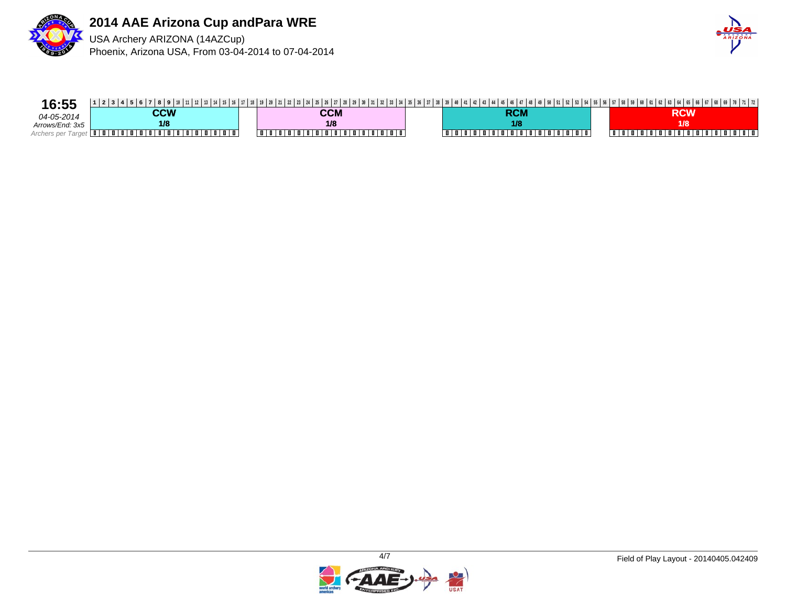



| 16:55           |     |        |         |  |
|-----------------|-----|--------|---------|--|
| 04-05-2014      | CCW | CCM    | RCM     |  |
| Arrows/End: 3x5 | 1/8 | 1/8    | 1/8     |  |
|                 |     | .<br>. | ,,,,,,, |  |

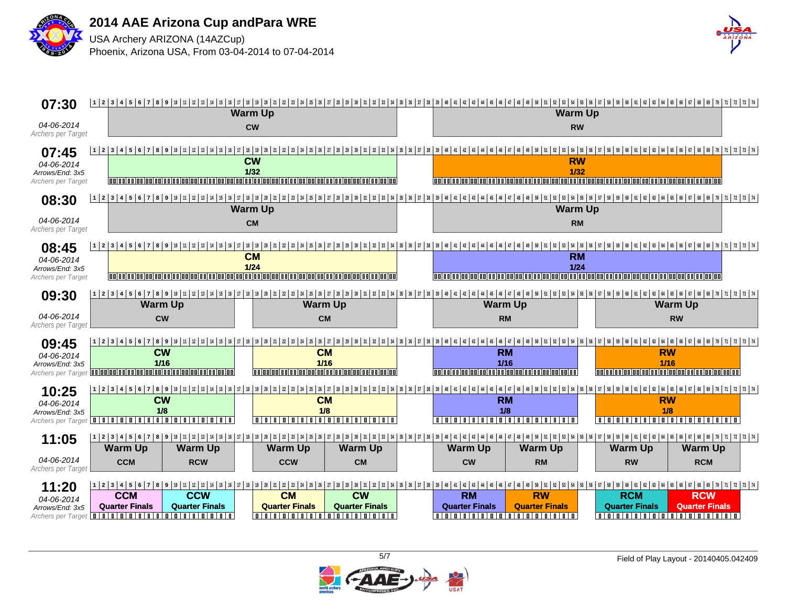



| 07:30                                                        | 12 2 3 4 5 6 7 8 9 10 11 2 3 4 5 6 7 8 9 10 11 2 3 4 5 6 7 8 70 3 4 5 6 7 8 70 3 4 5 6 7 8 9 30 12 2 3 4 5 6 7 8 9 30 12 3 4 5 6 7 8 9 30 12 3 4 5 6 7 8 9 30 12 12 13 4 5 6 7 8 9 30 12 12 13 4 5 6 7 8 9 30 12 12 13 4 5 6 70<br><b>Warm Up</b>                                                                    | <b>Warm Up</b>                                                                                  |                                                                                                                                                                                                                                                                |
|--------------------------------------------------------------|----------------------------------------------------------------------------------------------------------------------------------------------------------------------------------------------------------------------------------------------------------------------------------------------------------------------|-------------------------------------------------------------------------------------------------|----------------------------------------------------------------------------------------------------------------------------------------------------------------------------------------------------------------------------------------------------------------|
| 04-06-2014<br>Archers per Target                             | <b>CW</b>                                                                                                                                                                                                                                                                                                            | <b>RW</b>                                                                                       |                                                                                                                                                                                                                                                                |
| 07:45<br>04-06-2014<br>Arrows/End: 3x5<br>Archers per Target | 12 2 3 4 5 6 7 8 9 10 11 2 3 4 5 6 7 8 9 10 11 2 3 4 5 6 7 8 10 12 3 4 5 10 12 3 4 5 6 7 8 9 10 12 3 4 5 6 7 8 9 10 12 3 4 5 6 7 8 9 10 12 3 4 5 6 7 8 9 10 12 3 4 5 6 7 8 9 10 12 3 4 5 6 7 8 9 10 12 3 4 5 6 7 8 9 10 12 3 4<br><b>CW</b><br>1/32<br><u>iooloolooloolooloo</u><br>ionia alaalaalaalaalaalaalaalaal | <b>RW</b><br>1/32<br>(na a glicologico) e a je sie s                                            |                                                                                                                                                                                                                                                                |
| 08:30                                                        | <b>Warm Up</b>                                                                                                                                                                                                                                                                                                       | <b>Warm Up</b>                                                                                  |                                                                                                                                                                                                                                                                |
| 04-06-2014<br>Archers per Target                             | <b>CM</b>                                                                                                                                                                                                                                                                                                            | <b>RM</b>                                                                                       |                                                                                                                                                                                                                                                                |
| 08:45<br>04-06-2014<br>Arrows/End: 3x5<br>Archers per Target | $17$   $18$   $19$   $20$<br>21 22 23 24 25 26 27 28 29 30 31 32 33 34 35 36 37 38 39 40 141 42 43 44 5<br>12345<br><b>CM</b><br>$1/24$<br>aninainainainainainainainainainaina                                                                                                                                       | <b>RM</b><br>$1/24$                                                                             | 49   50   51   52   53   54   55   56   57   58   59   60   61   62   63   64   65   66   67   68   69   70   71   72   73   74<br>aninalaninalaninalaning japing laging japing laging japing laging japing laging japing laging japing lagi                   |
| 09:30                                                        | 12345<br><b>Warm Up</b><br><b>Warm Up</b>                                                                                                                                                                                                                                                                            | <b>Warm Up</b>                                                                                  | <b>Warm Up</b>                                                                                                                                                                                                                                                 |
| 04-06-2014<br>Archers per Targe                              | <b>CW</b><br><b>CM</b>                                                                                                                                                                                                                                                                                               | <b>RM</b>                                                                                       | <b>RW</b>                                                                                                                                                                                                                                                      |
| 09:45<br>04-06-2014<br>Arrows/End: 3x5                       | 1 2 3 4 5 6 7 8 9<br><b>CW</b><br><b>CM</b><br>$1/16$<br>1/16<br>Archers per Target <b>adodo adodo de la de la de la de la de la de la de la de</b><br>0000000000000000000000000000000000                                                                                                                            | <b>RM</b><br>$1/16$                                                                             | <b>RW</b><br>$1/16$<br>in in a ina ina ina                                                                                                                                                                                                                     |
| 10:25<br>04-06-2014<br>Arrows/End: 3x5                       | 1 2 3 4 5 6 7 8 9<br><b>CW</b><br><b>CM</b><br>1/8<br>1/8<br>00000000000000000000<br>Archers per Target <b>IIIIIIIII</b> II<br>nin<br>.                                                                                                                                                                              | <b>RM</b><br>1/8<br>$\blacksquare$<br>lπ                                                        | <b>RW</b><br>1/8<br>n I n I n I n                                                                                                                                                                                                                              |
| 11:05                                                        | <b>Warm Up</b><br><b>Warm Up</b><br><b>Warm Up</b><br><b>Warm Up</b>                                                                                                                                                                                                                                                 | <b>Warm Up</b><br><b>Warm Up</b>                                                                | <b>Warm Up</b><br><b>Warm Up</b>                                                                                                                                                                                                                               |
| 04-06-2014<br>Archers per Targe                              | <b>CCM</b><br><b>RCW</b><br><b>CCW</b><br><b>CM</b>                                                                                                                                                                                                                                                                  | <b>CW</b><br><b>RM</b>                                                                          | <b>RW</b><br><b>RCM</b>                                                                                                                                                                                                                                        |
| 11:20<br>04-06-2014<br>Arrows/End: 3x5<br>Archers per Target | 1   2   3   4   5   6   7   8   9   10   11   12   13   14   15   16   17   18   19   20   21   22   23  <br><b>CCM</b><br><b>CCW</b><br><b>CM</b><br><b>CW</b><br><b>Quarter Finals</b><br><b>Quarter Finals</b><br><b>Quarter Finals</b><br><b>Quarter Finals</b><br>0000000000000000000<br>00000000000000000000   | <b>RW</b><br><b>RM</b><br><b>Quarter Finals</b><br><b>Quarter Finals</b><br>0000000000000000000 | 24 25 26 27 28 29 30 31 32 33 34 35 36 37 38 39 40 41 42 43 44 45 46 47 48 49 50 51 52 53 54 55 56 57 58 59 60 61 62 63 64 65 66 67 68 69 70 71 72 73 74<br><b>RCM</b><br><b>RCW</b><br><b>Quarter Finals</b><br><b>Quarter Finals</b><br>00000000000000000000 |

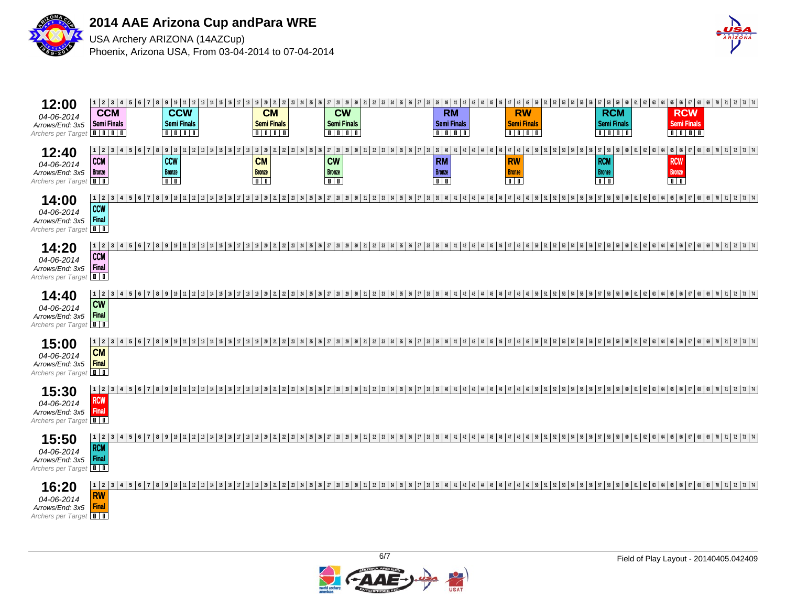



| 12 2 3 4 5 6 7 8 9 10 11 2 3 4 5 6 7 8 9 10 11 2 3 4 5 6 7 8 70 3 4 5 6 7 8 70 12 2 3 4 5 6 7 8 9 10 12 3 4 5 6 7 8 9 10 12 3 4 5 6 7 8 9 10 12 3 4 5 6 7 8 9 10 12 3 4 5 6 7 8 9 10 12 3 4 5 6 7 8 9 10 12 3 4 5 6 7 8 9 10 12<br>12:00<br><b>CCW</b><br><b>CW</b><br><b>RW</b><br><b>CCM</b><br><b>CM</b><br><b>RM</b><br><b>RCM</b><br><b>RCW</b><br>04-06-2014<br><b>Semi Finals</b><br><b>Semi Finals</b><br>Semi Finals<br>Semi Finals<br>Semi Finals<br><b>Semi Finals</b><br><b>Semi Finals</b><br><b>Semi Finals</b><br>Arrows/End: 3x5<br>Archers per Target <b>IIII</b><br>$\boxed{0}$<br>$\blacksquare$ |
|---------------------------------------------------------------------------------------------------------------------------------------------------------------------------------------------------------------------------------------------------------------------------------------------------------------------------------------------------------------------------------------------------------------------------------------------------------------------------------------------------------------------------------------------------------------------------------------------------------------------|
| 12:40<br><b>CCM</b><br><b>CCW</b><br><b>CW</b><br><b>RM</b><br><b>CM</b><br><b>RW</b><br><b>RCM</b><br><b>RCW</b><br>04-06-2014<br><b>Bronze</b><br><b>Bronze</b><br><b>Bronze</b><br><b>Bronze</b><br><b>Bronze</b><br><b>Bronze</b><br><b>Bronze</b><br><b>Bronze</b><br>Arrows/End: 3x5<br>$\overline{\mathbf{u}}$<br>$\overline{\Box}$<br>$\overline{\mathbf{u}}$<br>$\overline{1}$<br>$\overline{1}$<br>$\overline{\mathbb{I} \mathbb{I}}$<br>Archers per Target<br>00                                                                                                                                         |
| 1 2 <br>14:00<br><b>CCW</b><br>04-06-2014<br>Final<br>Arrows/End: 3x5<br>Archers per Target                                                                                                                                                                                                                                                                                                                                                                                                                                                                                                                         |
| 12 2 3 4 5 6 7 8 9 10 11 2 3 4 5 6 7 8 9 10 11 2 3 4 5 6 7 12 3 4 5 7 2 3 4 5 6 7 8 9 10 12 3 4 5 6 7 8 9 10 12 3 4 5 6 7 8 9 10 12 3 4 5 6 7 8 9 10 12 3 4 5 6 7 8 9 10 12 3 4 5 6 7 8 9 10 12 3 4 5 6 7 8 9 10 12 13 4 6 6 7<br>14:20<br><b>CCM</b><br>04-06-2014<br>Final<br>Arrows/End: 3x5<br>Archers per Target                                                                                                                                                                                                                                                                                               |
| 123<br>14:40<br><b>CW</b><br>04-06-2014<br>Final<br>Arrows/End: 3x5<br>Archers per Target                                                                                                                                                                                                                                                                                                                                                                                                                                                                                                                           |
| $1 \mid 2$<br>15:00<br><b>CM</b><br>04-06-2014<br>Final<br>Arrows/End: 3x5<br>Archers per Target                                                                                                                                                                                                                                                                                                                                                                                                                                                                                                                    |
| 15:30<br><b>RCW</b><br>04-06-2014<br>Final<br>Arrows/End: 3x5<br>Archers per Target <b>11</b>                                                                                                                                                                                                                                                                                                                                                                                                                                                                                                                       |
| 12 2 3 4 5 6 7 8 9 10 11 2 3 4 6 7 8 9 10 11 2 3 4 5 6 7 12 3 4 5 6 7 2 3 4 5 6 7 8 9 10 12 3 4 5 6 7 8 9 10 12 3 4 5 6 7 8 9 10 12 3 4 5 6 7 8 9 10 12 3 4 5 6 7 8 9 10 12 3 4 5 6 7 8 9 10 12 3 4 5 6 7 8 9 10 12 3 4 5 6 7 8<br>15:50<br><b>RCM</b><br>04-06-2014<br>Final<br>Arrows/End: 3x5<br>Archers per Target                                                                                                                                                                                                                                                                                              |
| 16:20<br>RW<br>04-06-2014<br><b>Final</b><br>Arrows/End: 3x5<br>Archers per Target                                                                                                                                                                                                                                                                                                                                                                                                                                                                                                                                  |